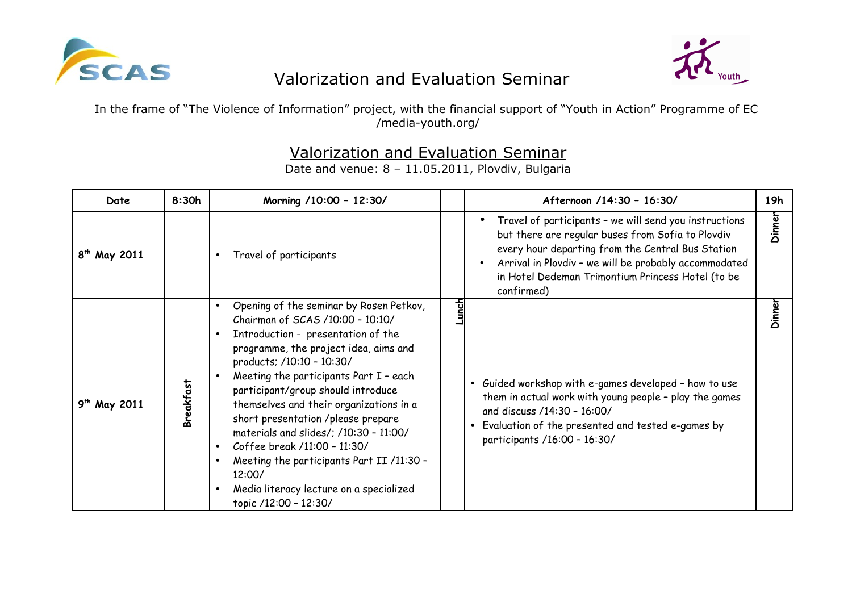



In the frame of "The Violence of Information" project, with the financial support of "Youth in Action" Programme of EC /media-youth.org/

## Valorization and Evaluation Seminar

| Date                     | 8:30h            | Morning /10:00 - 12:30/                                                                                                                                                                                                                                                                                                                                                                                                                                                                                                                                       |             | Afternoon /14:30 - 16:30/                                                                                                                                                                                                                                                                                              | 19h    |
|--------------------------|------------------|---------------------------------------------------------------------------------------------------------------------------------------------------------------------------------------------------------------------------------------------------------------------------------------------------------------------------------------------------------------------------------------------------------------------------------------------------------------------------------------------------------------------------------------------------------------|-------------|------------------------------------------------------------------------------------------------------------------------------------------------------------------------------------------------------------------------------------------------------------------------------------------------------------------------|--------|
| 8 <sup>th</sup> May 2011 |                  | Travel of participants                                                                                                                                                                                                                                                                                                                                                                                                                                                                                                                                        |             | Travel of participants - we will send you instructions<br>$\bullet$<br>but there are regular buses from Sofia to Plovdiv<br>every hour departing from the Central Bus Station<br>Arrival in Plovdiv - we will be probably accommodated<br>$\bullet$<br>in Hotel Dedeman Trimontium Princess Hotel (to be<br>confirmed) | Dinner |
| $9^{th}$ May 2011        | <b>Breakfast</b> | Opening of the seminar by Rosen Petkov,<br>Chairman of SCAS /10:00 - 10:10/<br>Introduction - presentation of the<br>programme, the project idea, aims and<br>products; /10:10 - 10:30/<br>Meeting the participants Part I - each<br>participant/group should introduce<br>themselves and their organizations in a<br>short presentation /please prepare<br>materials and slides/; /10:30 - 11:00/<br>Coffee break /11:00 - 11:30/<br>Meeting the participants Part II /11:30 -<br>12:00/<br>Media literacy lecture on a specialized<br>topic /12:00 - 12:30/ | <u>doun</u> | Guided workshop with e-games developed - how to use<br>them in actual work with young people - play the games<br>and discuss /14:30 - 16:00/<br>Evaluation of the presented and tested e-games by<br>participants /16:00 - 16:30/                                                                                      | Dinner |

Date and venue: 8 – 11.05.2011, Plovdiv, Bulgaria